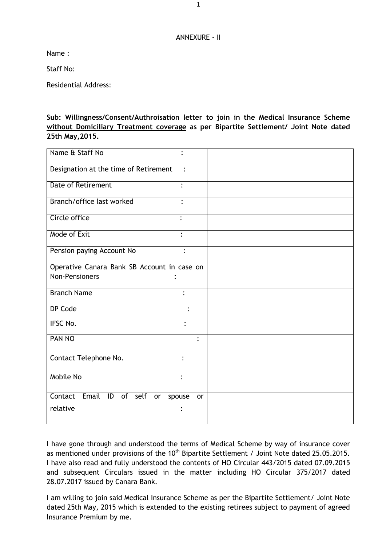## ANNEXURE - II

Name :

Staff No:

Residential Address:

**Sub: Willingness/Consent/Authroisation letter to join in the Medical Insurance Scheme without Domiciliary Treatment coverage as per Bipartite Settlement/ Joint Note dated 25th May,2015.**

| Name & Staff No                             |                |
|---------------------------------------------|----------------|
| Designation at the time of Retirement       | $\ddot{\cdot}$ |
| <b>Date of Retirement</b><br>$\ddot{\cdot}$ |                |
| Branch/office last worked                   |                |
| Circle office                               |                |
| Mode of Exit                                |                |
| Pension paying Account No                   |                |
| Operative Canara Bank SB Account in case on |                |
| <b>Non-Pensioners</b>                       |                |
| <b>Branch Name</b>                          | $\ddot{\cdot}$ |
| DP Code                                     |                |
| IFSC No.                                    |                |
| PAN NO                                      | $\ddot{\cdot}$ |
| Contact Telephone No.                       |                |
| Mobile No                                   |                |
| Contact<br>Email ID of self<br>or<br>spouse | or             |
| relative                                    |                |

I have gone through and understood the terms of Medical Scheme by way of insurance cover as mentioned under provisions of the 10<sup>th</sup> Bipartite Settlement / Joint Note dated 25.05.2015. I have also read and fully understood the contents of HO Circular 443/2015 dated 07.09.2015 and subsequent Circulars issued in the matter including HO Circular 375/2017 dated 28.07.2017 issued by Canara Bank.

I am willing to join said Medical Insurance Scheme as per the Bipartite Settlement/ Joint Note dated 25th May, 2015 which is extended to the existing retirees subject to payment of agreed Insurance Premium by me.